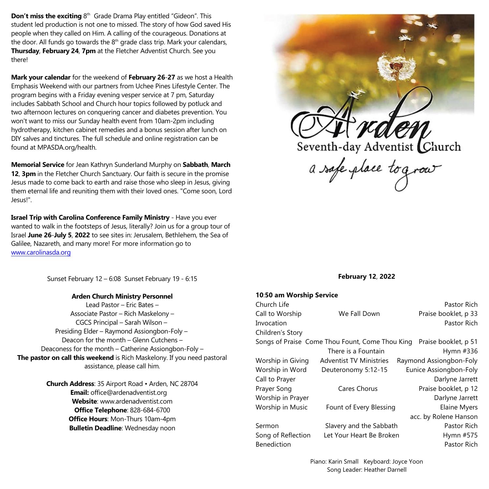**Don't miss the exciting** 8<sup>th</sup> Grade Drama Play entitled "Gideon". This student led production is not one to missed. The story of how God saved His people when they called on Him. A calling of the courageous. Donations at the door. All funds go towards the 8<sup>th</sup> grade class trip. Mark your calendars, **Thursday**, **February 24**, **7pm** at the Fletcher Adventist Church. See you there!

**Mark your calendar** for the weekend of **February 26**-**27** as we host a Health Emphasis Weekend with our partners from Uchee Pines Lifestyle Center. The program begins with a Friday evening vesper service at 7 pm, Saturday includes Sabbath School and Church hour topics followed by potluck and two afternoon lectures on conquering cancer and diabetes prevention. You won't want to miss our Sunday health event from 10am-2pm including hydrotherapy, kitchen cabinet remedies and a bonus session after lunch on DIY salves and tinctures. The full schedule and online registration can be found at MPASDA.org/health.

**Memorial Service** for Jean Kathryn Sunderland Murphy on **Sabbath**, **March 12**, **3pm** in the Fletcher Church Sanctuary. Our faith is secure in the promise Jesus made to come back to earth and raise those who sleep in Jesus, giving them eternal life and reuniting them with their loved ones. "Come soon, Lord Jesus!".

**Israel Trip with Carolina Conference Family Ministry** - Have you ever wanted to walk in the footsteps of Jesus, literally? Join us for a group tour of Israel **June 26**-**July 5**, **2022** to see sites in: Jerusalem, Bethlehem, the Sea of Galilee, Nazareth, and many more! For more information go to [www.carolinasda.org](http://www.carolinasda.org)

Sunset February 12 – 6:08 Sunset February 19 - 6:15

## **Arden Church Ministry Personnel**

Lead Pastor – Eric Bates – Associate Pastor – Rich Maskelony – CGCS Principal – Sarah Wilson – Presiding Elder – Raymond Assiongbon-Foly – Deacon for the month – Glenn Cutchens – Deaconess for the month – Catherine Assiongbon-Foly – **The pastor on call this weekend** is Rich Maskelony. If you need pastoral assistance, please call him.

> **Church Address**: 35 Airport Road • Arden, NC 28704 **Email:** office@ardenadventist.org **Website**: www.ardenadventist.com **Office Telephone**: 828-684-6700 **Office Hours**: Mon-Thurs 10am-4pm **Bulletin Deadline**: Wednesday noon



Seventh-day Adventist Church<br>a safe place to grow

# **February 12**, **2022**

### **10**:**50 am Worship Service**

| Church Life                                                             |                                | Pastor Rich             |
|-------------------------------------------------------------------------|--------------------------------|-------------------------|
| Call to Worship                                                         | We Fall Down                   | Praise booklet, p 33    |
| Invocation                                                              |                                | Pastor Rich             |
| Children's Story                                                        |                                |                         |
| Songs of Praise Come Thou Fount, Come Thou King<br>Praise booklet, p 51 |                                |                         |
|                                                                         | There is a Fountain            | Hymn #336               |
| Worship in Giving                                                       | <b>Adventist TV Ministries</b> | Raymond Assiongbon-Foly |
| Worship in Word                                                         | Deuteronomy 5:12-15            | Eunice Assiongbon-Foly  |
| Call to Prayer                                                          |                                | Darlyne Jarrett         |
| Prayer Song                                                             | <b>Cares Chorus</b>            | Praise booklet, p 12    |
| Worship in Prayer                                                       |                                | Darlyne Jarrett         |
| Worship in Music                                                        | Fount of Every Blessing        | <b>Elaine Myers</b>     |
|                                                                         |                                | acc. by Rolene Hanson   |
| Sermon                                                                  | Slavery and the Sabbath        | Pastor Rich             |
| Song of Reflection                                                      | Let Your Heart Be Broken       | Hymn #575               |
| <b>Benediction</b>                                                      |                                | Pastor Rich             |
|                                                                         |                                |                         |